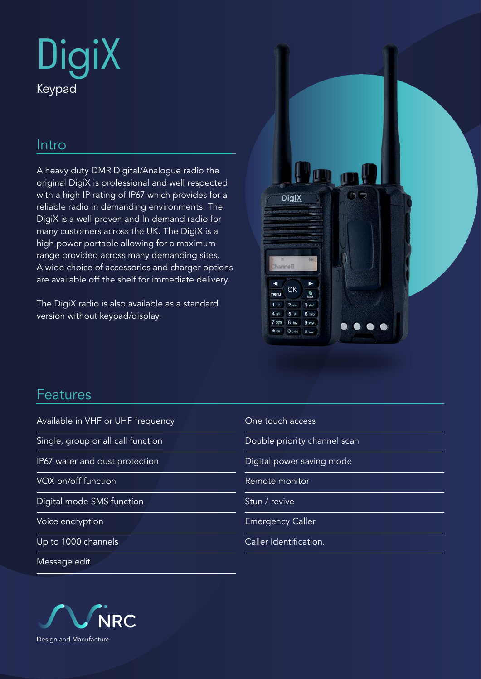

## Intro

A heavy duty DMR Digital/Analogue radio the original DigiX is professional and well respected with a high IP rating of IP67 which provides for a reliable radio in demanding environments. The DigiX is a well proven and In demand radio for many customers across the UK. The DigiX is a high power portable allowing for a maximum range provided across many demanding sites. A wide choice of accessories and charger options are available off the shelf for immediate delivery.

The DigiX radio is also available as a standard version without keypad/display.



### Features

Available in VHF or UHF frequency Single, group or all call function IP67 water and dust protection VOX on/off function Digital mode SMS function Voice encryption Up to 1000 channels Message edit One touch access Double priority channel scan Digital power saving mode Remote monitor Stun / revive Emergency Caller Caller Identification.